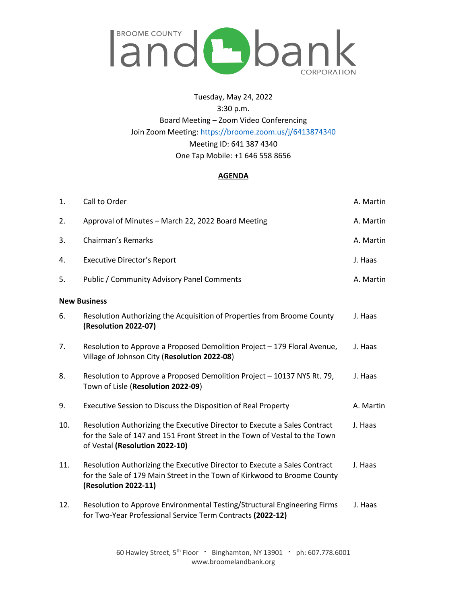

Tuesday, May 24, 2022 3:30 p.m. Board Meeting – Zoom Video Conferencing Join Zoom Meeting:<https://broome.zoom.us/j/6413874340> Meeting ID: 641 387 4340 One Tap Mobile: +1 646 558 8656

## **AGENDA**

| 1.                  | Call to Order                                                                                                                                                                             | A. Martin |
|---------------------|-------------------------------------------------------------------------------------------------------------------------------------------------------------------------------------------|-----------|
| 2.                  | Approval of Minutes - March 22, 2022 Board Meeting                                                                                                                                        | A. Martin |
| 3.                  | <b>Chairman's Remarks</b>                                                                                                                                                                 | A. Martin |
| 4.                  | <b>Executive Director's Report</b>                                                                                                                                                        | J. Haas   |
| 5.                  | <b>Public / Community Advisory Panel Comments</b>                                                                                                                                         | A. Martin |
| <b>New Business</b> |                                                                                                                                                                                           |           |
| 6.                  | Resolution Authorizing the Acquisition of Properties from Broome County<br>(Resolution 2022-07)                                                                                           | J. Haas   |
| 7.                  | Resolution to Approve a Proposed Demolition Project - 179 Floral Avenue,<br>Village of Johnson City (Resolution 2022-08)                                                                  | J. Haas   |
| 8.                  | Resolution to Approve a Proposed Demolition Project - 10137 NYS Rt. 79,<br>Town of Lisle (Resolution 2022-09)                                                                             | J. Haas   |
| 9.                  | Executive Session to Discuss the Disposition of Real Property                                                                                                                             | A. Martin |
| 10.                 | Resolution Authorizing the Executive Director to Execute a Sales Contract<br>for the Sale of 147 and 151 Front Street in the Town of Vestal to the Town<br>of Vestal (Resolution 2022-10) | J. Haas   |
| 11.                 | Resolution Authorizing the Executive Director to Execute a Sales Contract<br>for the Sale of 179 Main Street in the Town of Kirkwood to Broome County<br>(Resolution 2022-11)             | J. Haas   |
| 12.                 | Resolution to Approve Environmental Testing/Structural Engineering Firms<br>for Two-Year Professional Service Term Contracts (2022-12)                                                    | J. Haas   |

60 Hawley Street,  $5^{th}$  Floor  $\cdot$  Binghamton, NY 13901  $\cdot$  ph: 607.778.6001 www.broomelandbank.org